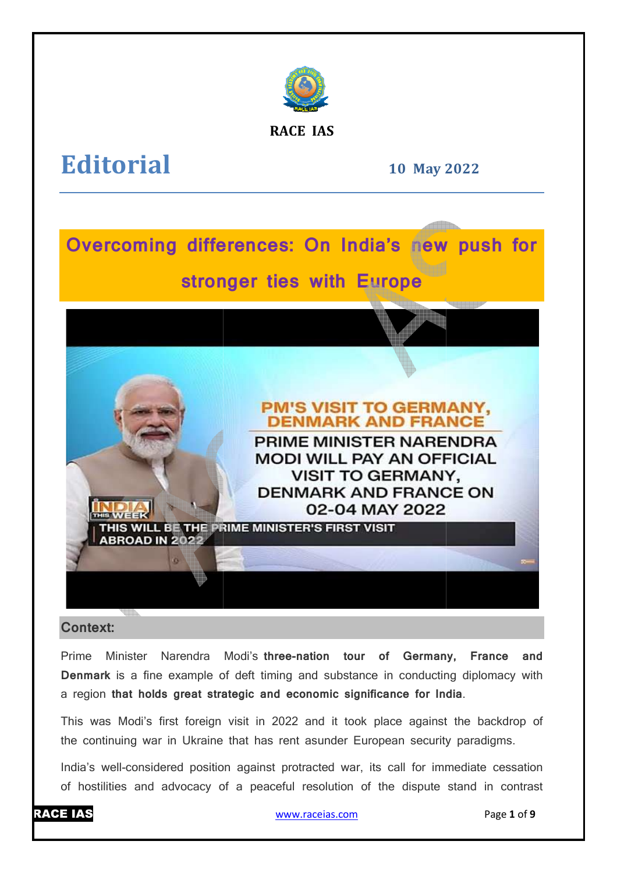

**RACE IAS**

# **Editorial**

**10 May 2022**



# **Context:**

Prime Minister Narendra Modi's three-nation tour of Germany, France and **Denmark** is a fine example of deft timing and substance in conducting diplomacy with a region **that holds great strategic and economic significance for India** .

This was Modi's first foreign visit in 2022 and it took place against the backdrop of the continuing war in Ukraine that has rent asunder European security paradigms.

India's well-considered position against protracted war, its call for immediate cessation of hostilities and advocacy of a peaceful resolution of the dispute stand in contrast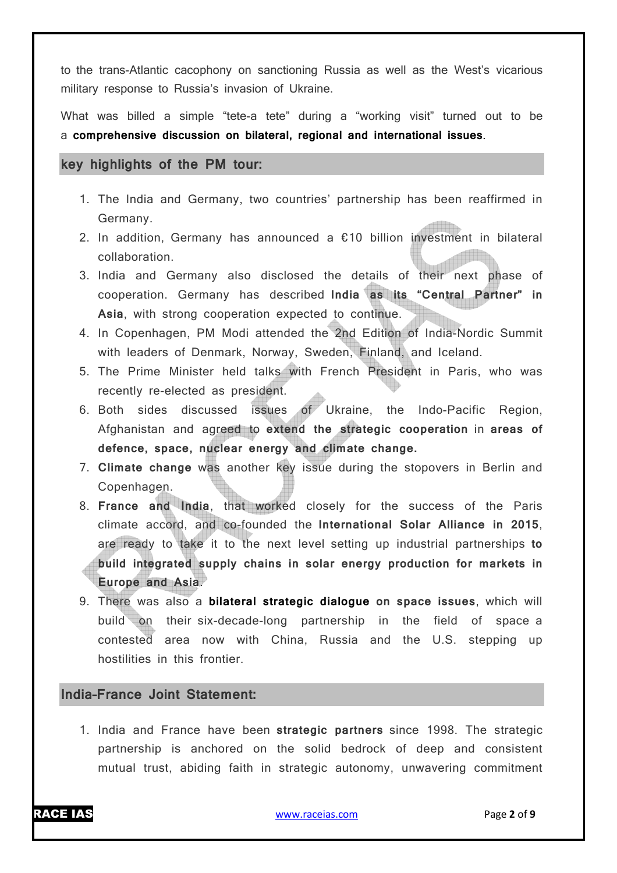to the trans-Atlantic cacophony on sanctioning Russia as well as the West's vicarious military response to Russia's invasion of Ukraine.

What was billed a simple "tete-a tete" during a "working visit" turned out to be a **comprehensive discussion on bilateral, regional and international issues**.

### **key highlights of the PM tour:**

- 1. The India and Germany, two countries' partnership has been reaffirmed in Germany.
- 2. In addition, Germany has announced a  $£10$  billion investment in bilateral collaboration.
- 3. India and Germany also disclosed the details of their next phase of cooperation. Germany has described **India as its "Central Partner" in Asia**, with strong cooperation expected to continue.
- 4. In Copenhagen, PM Modi attended the 2nd Edition of India-Nordic Summit with leaders of Denmark, Norway, Sweden, Finland, and Iceland.
- 5. The Prime Minister held talks with French President in Paris, who was recently re-elected as president.
- 6. Both sides discussed issues of Ukraine, the Indo-Pacific Region, Afghanistan and agreed to **extend the strategic cooperation** in **areas of defence, space, nuclear energy and climate change.**
- 7. **Climate change** was another key issue during the stopovers in Berlin and Copenhagen.
- 8. **France and India**, that worked closely for the success of the Paris climate accord, and co-founded the **International Solar Alliance in 2015**, are ready to take it to the next level setting up industrial partnerships **to build integrated supply chains in solar energy production for markets in Europe and Asia**.
- 9. There was also a **bilateral strategic dialogue on space issues**, which will build on their six-decade-long partnership in the field of space a contested area now with China, Russia and the U.S. stepping up hostilities in this frontier.

### **India–France Joint Statement:**

1. India and France have been **strategic partners** since 1998. The strategic partnership is anchored on the solid bedrock of deep and consistent mutual trust, abiding faith in strategic autonomy, unwavering commitment

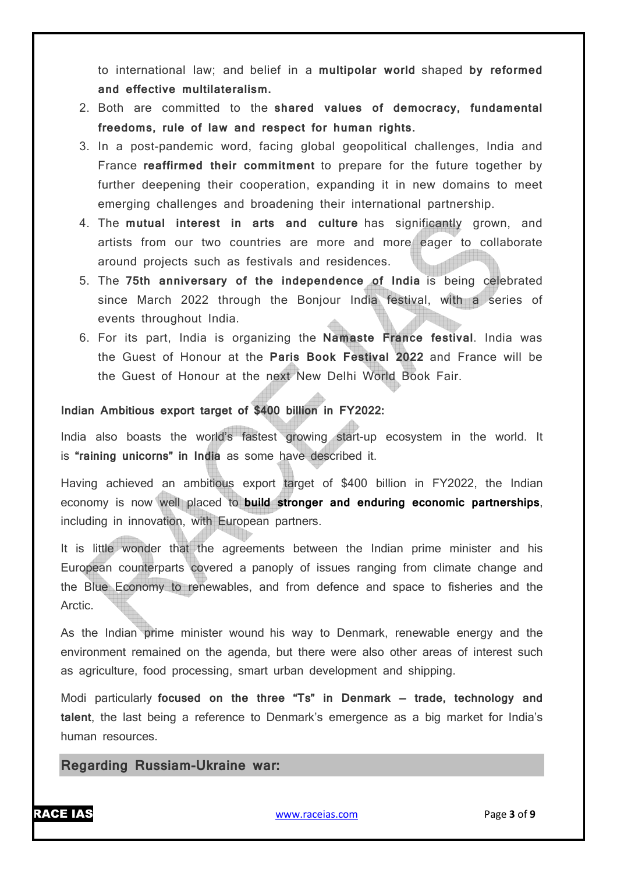to international law; and belief in a **multipolar world** shaped **by reformed and effective multilateralism.**

- 2. Both are committed to the **shared values of democracy, fundamental freedoms, rule of law and respect for human rights.**
- 3. In a post-pandemic word, facing global geopolitical challenges, India and France **reaffirmed their commitment** to prepare for the future together by further deepening their cooperation, expanding it in new domains to meet emerging challenges and broadening their international partnership.
- 4. The **mutual interest in arts and culture** has significantly grown, and artists from our two countries are more and more eager to collaborate around projects such as festivals and residences.
- 5. The **75th anniversary of the independence of India** is being celebrated since March 2022 through the Bonjour India festival, with a series of events throughout India.
- 6. For its part, India is organizing the **Namaste France festival**. India was the Guest of Honour at the **Paris Book Festival 2022** and France will be the Guest of Honour at the next New Delhi World Book Fair.

### **Indian Ambitious export target of \$400 billion in FY2022:**

India also boasts the world's fastest growing start-up ecosystem in the world. It is **"raining unicorns" in India** as some have described it.

Having achieved an ambitious export target of \$400 billion in FY2022, the Indian economy is now well placed to **build stronger and enduring economic partnerships**, including in innovation, with European partners.

It is little wonder that the agreements between the Indian prime minister and his European counterparts covered a panoply of issues ranging from climate change and the Blue Economy to renewables, and from defence and space to fisheries and the Arctic.

As the Indian prime minister wound his way to Denmark, renewable energy and the environment remained on the agenda, but there were also other areas of interest such as agriculture, food processing, smart urban development and shipping.

Modi particularly **focused on the three "Ts" in Denmark — trade, technology and talent**, the last being a reference to Denmark's emergence as a big market for India's human resources.

# **Regarding Russiam-Ukraine war:**

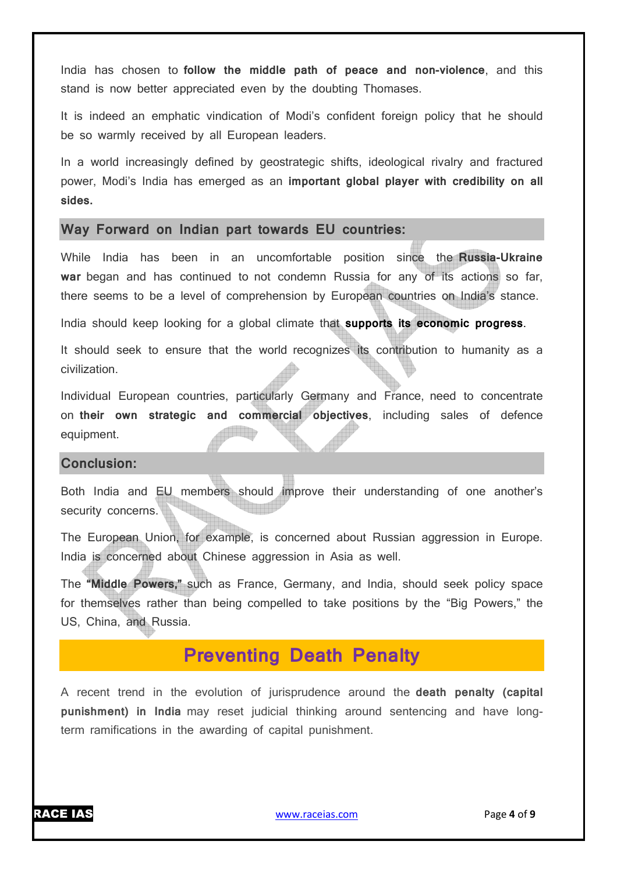India has chosen to **follow the middle path of peace and non-violence**, and this stand is now better appreciated even by the doubting Thomases.

It is indeed an emphatic vindication of Modi's confident foreign policy that he should be so warmly received by all European leaders.

In a world increasingly defined by geostrategic shifts, ideological rivalry and fractured power, Modi's India has emerged as an **important global player with credibility on all sides.**

### **Way Forward on Indian part towards EU countries:**

While India has been in an uncomfortable position since the **Russia-Ukraine war** began and has continued to not condemn Russia for any of its actions so far, there seems to be a level of comprehension by European countries on India's stance.

India should keep looking for a global climate that **supports its economic progress**.

It should seek to ensure that the world recognizes its contribution to humanity as a civilization.

Individual European countries, particularly Germany and France, need to concentrate on **their own strategic and commercial objectives**, including sales of defence equipment.

#### **Conclusion:**

Both India and EU members should improve their understanding of one another's security concerns.

The European Union, for example, is concerned about Russian aggression in Europe. India is concerned about Chinese aggression in Asia as well.

The **"Middle Powers,"** such as France, Germany, and India, should seek policy space for themselves rather than being compelled to take positions by the "Big Powers," the US, China, and Russia.

# **Preventing Death Penalty**

A recent trend in the evolution of jurisprudence around the **death penalty (capital punishment) in India** may reset judicial thinking around sentencing and have longterm ramifications in the awarding of capital punishment.

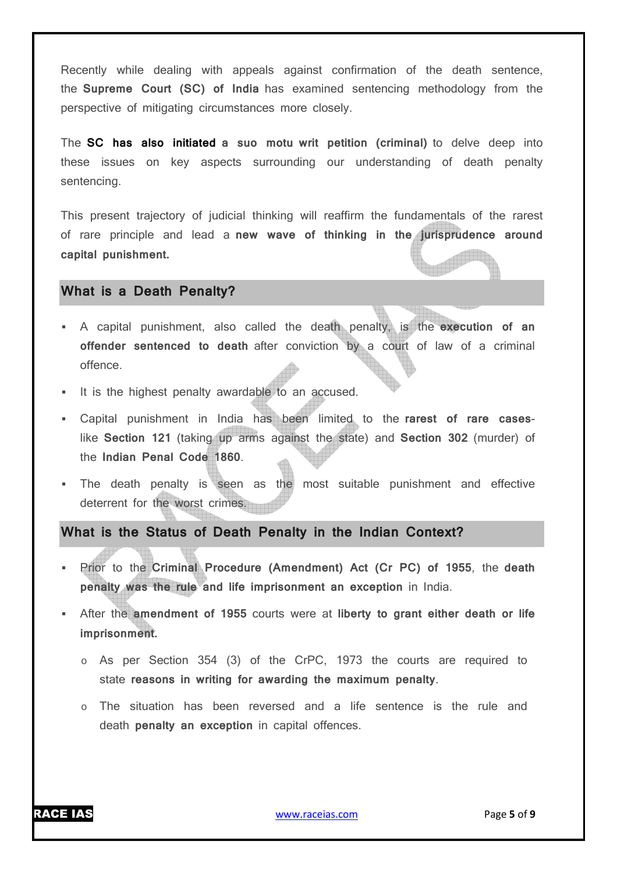Recently while dealing with appeals against confirmation of the death sentence, the **Supreme Court (SC) of India** has examined sentencing methodology from the perspective of mitigating circumstances more closely.

The **SC has also initiated a suo motu writ petition (criminal)** to delve deep into these issues on key aspects surrounding our understanding of death penalty sentencing.

This present trajectory of judicial thinking will reaffirm the fundamentals of the rarest of rare principle and lead a **new wave of thinking in the jurisprudence around capital punishment.**

### **What is a Death Penalty?**

- A capital punishment, also called the death penalty, is the **execution of an offender sentenced to death** after conviction by a court of law of a criminal offence.
- It is the highest penalty awardable to an accused.
- Capital punishment in India has been limited to the **rarest of rare cases**like **Section 121** (taking up arms against the state) and **Section 302** (murder) of the **Indian Penal Code 1860**.
- The death penalty is seen as the most suitable punishment and effective deterrent for the worst crimes.

# **What is the Status of Death Penalty in the Indian Context?**

- Prior to the **Criminal Procedure (Amendment) Act (Cr PC) of 1955**, the **death penalty was the rule and life imprisonment an exception** in India.
- After the **amendment of 1955** courts were at **liberty to grant either death or life imprisonment.**
	- o As per Section 354 (3) of the CrPC, 1973 the courts are required to state **reasons in writing for awarding the maximum penalty**.
	- o The situation has been reversed and a life sentence is the rule and death **penalty an exception** in capital offences.

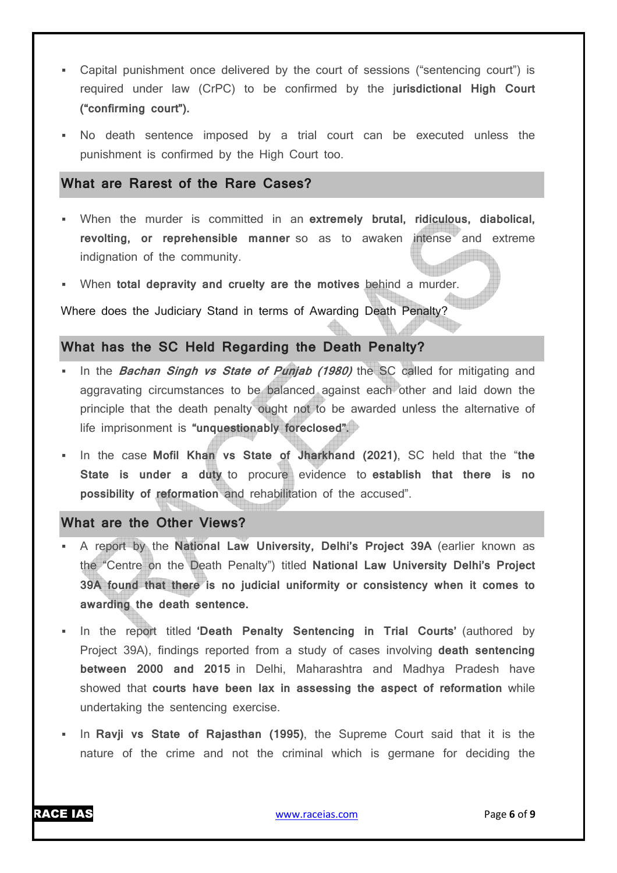- Capital punishment once delivered by the court of sessions ("sentencing court") is required under law (CrPC) to be confirmed by the j**urisdictional High Court ("confirming court").**
- No death sentence imposed by a trial court can be executed unless the punishment is confirmed by the High Court too.

### **What are Rarest of the Rare Cases?**

- When the murder is committed in an **extremely brutal, ridiculous, diabolical, revolting, or reprehensible manner** so as to awaken intense and extreme indignation of the community.
- When **total depravity and cruelty are the motives behind** a murder.

Where does the Judiciary Stand in terms of Awarding Death Penalty?

### **What has the SC Held Regarding the Death Penalty?**

- In the **Bachan Singh vs State of Punjab (1980)** the SC called for mitigating and aggravating circumstances to be balanced against each other and laid down the principle that the death penalty ought not to be awarded unless the alternative of life imprisonment is **"unquestionably foreclosed".**
- In the case **Mofil Khan vs State of Jharkhand (2021)**, SC held that the "**the State is under a duty** to procure evidence to **establish that there is no possibility of reformation** and rehabilitation of the accused".

# **What are the Other Views?**

- A report by the **National Law University, Delhi's Project 39A** (earlier known as the "Centre on the Death Penalty") titled **National Law University Delhi's Project 39A found that there is no judicial uniformity or consistency when it comes to awarding the death sentence.**
- In the report titled **'Death Penalty Sentencing in Trial Courts'** (authored by Project 39A), findings reported from a study of cases involving **death sentencing between 2000 and 2015** in Delhi, Maharashtra and Madhya Pradesh have showed that **courts have been lax in assessing the aspect of reformation** while undertaking the sentencing exercise.
- In **Ravji vs State of Rajasthan (1995)**, the Supreme Court said that it is the nature of the crime and not the criminal which is germane for deciding the

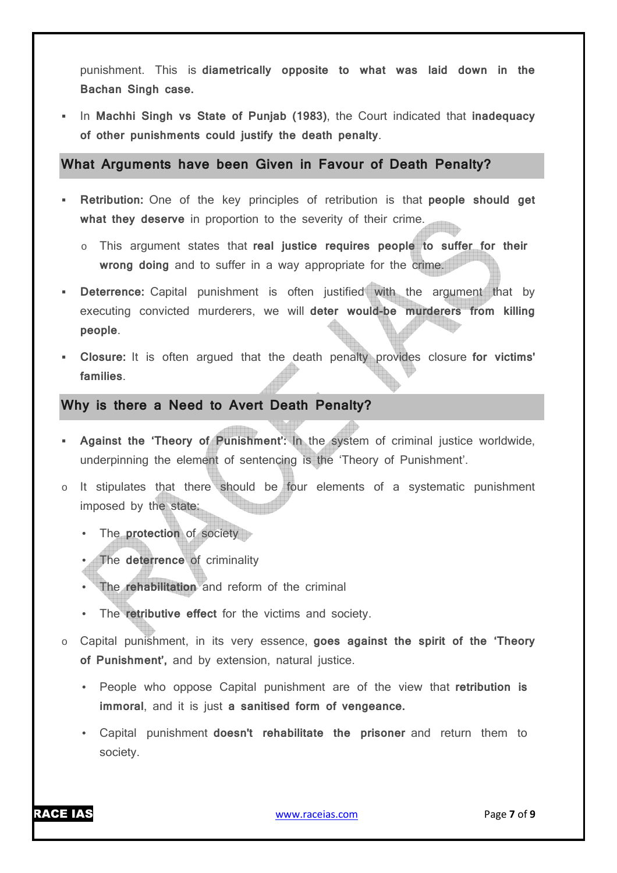punishment. This is **diametrically opposite to what was laid down in the Bachan Singh case.**

 In **Machhi Singh vs State of Punjab (1983)**, the Court indicated that **inadequacy of other punishments could justify the death penalty**.

**What Arguments have been Given in Favour of Death Penalty?** 

- **Retribution:** One of the key principles of retribution is that **people should get what they deserve** in proportion to the severity of their crime.
	- o This argument states that **real justice requires people to suffer for their wrong doing** and to suffer in a way appropriate for the crime.
- **Deterrence:** Capital punishment is often justified with the argument that by executing convicted murderers, we will **deter would-be murderers from killing people**.
- **Closure:** It is often argued that the death penalty provides closure **for victims' families**.

# **Why is there a Need to Avert Death Penalty?**

- **Against the 'Theory of Punishment':** In the system of criminal justice worldwide, underpinning the element of sentencing is the 'Theory of Punishment'.
- o It stipulates that there should be four elements of a systematic punishment imposed by the state:
	- The **protection** of society
	- The **deterrence** of criminality
	- The **rehabilitation** and reform of the criminal
	- The **retributive effect** for the victims and society.
- o Capital punishment, in its very essence, **goes against the spirit of the 'Theory of Punishment',** and by extension, natural justice.
	- People who oppose Capital punishment are of the view that **retribution is immoral**, and it is just **a sanitised form of vengeance.**
	- Capital punishment **doesn't rehabilitate the prisoner** and return them to society.

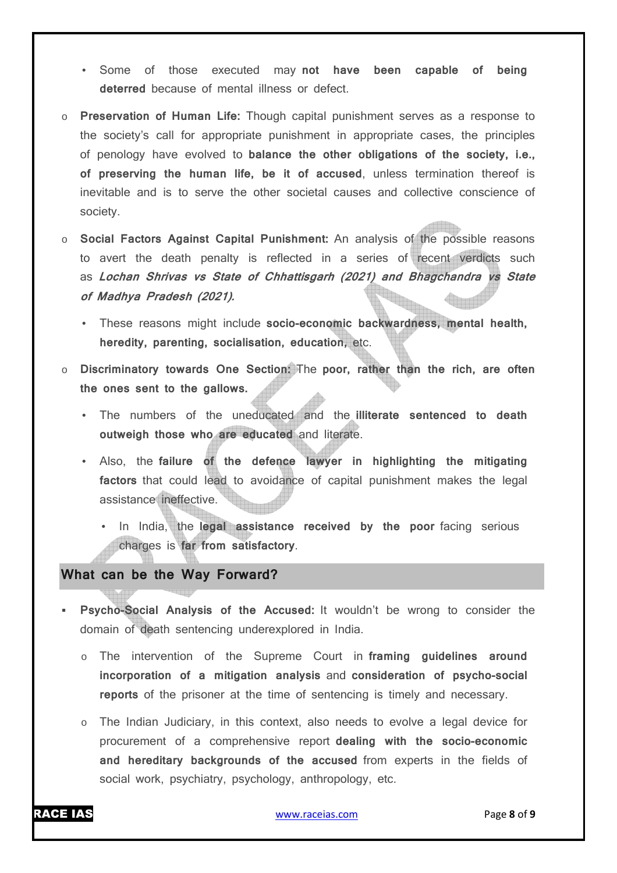- Some of those executed may **not have been capable of being deterred** because of mental illness or defect.
- o **Preservation of Human Life:** Though capital punishment serves as a response to the society's call for appropriate punishment in appropriate cases, the principles of penology have evolved to **balance the other obligations of the society, i.e., of preserving the human life, be it of accused**, unless termination thereof is inevitable and is to serve the other societal causes and collective conscience of society.
- o **Social Factors Against Capital Punishment:** An analysis of the possible reasons to avert the death penalty is reflected in a series of recent verdicts such as **Lochan Shrivas vs State of Chhattisgarh (2021) and Bhagchandra vs State of Madhya Pradesh (2021).**
	- These reasons might include **socio-economic backwardness, mental health, heredity, parenting, socialisation, education,** etc.
- o **Discriminatory towards One Section:** The **poor, rather than the rich, are often the ones sent to the gallows.**
	- The numbers of the uneducated and the **illiterate sentenced to death outweigh those who are educated** and literate.
	- Also, the **failure of the defence lawyer in highlighting the mitigating factors** that could lead to avoidance of capital punishment makes the legal assistance ineffective.
		- In India, the **legal assistance received by the poor** facing serious charges is **far from satisfactory**.

# **What can be the Way Forward?**

- **Psycho-Social Analysis of the Accused:** It wouldn't be wrong to consider the domain of death sentencing underexplored in India.
	- o The intervention of the Supreme Court in **framing guidelines around incorporation of a mitigation analysis** and **consideration of psycho-social reports** of the prisoner at the time of sentencing is timely and necessary.
	- $\circ$  The Indian Judiciary, in this context, also needs to evolve a legal device for procurement of a comprehensive report **dealing with the socio-economic and hereditary backgrounds of the accused** from experts in the fields of social work, psychiatry, psychology, anthropology, etc.